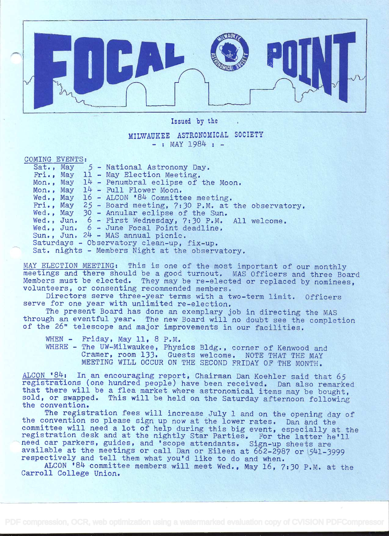

Issued by the

## MILWAUKEE ASTRONOMICAL SOCIETY

 $-$  : MAY 1984 :  $-$ 

COMING EVENTS:

|  |                                                 |  |  | Sat., May 5 - National Astronomy Day.                       |  |  |  |  |
|--|-------------------------------------------------|--|--|-------------------------------------------------------------|--|--|--|--|
|  |                                                 |  |  | Fri., May 11 - May Election Meeting.                        |  |  |  |  |
|  |                                                 |  |  | Mon., May $14$ - Penumbral eclipse of the Moon.             |  |  |  |  |
|  | Mon., May                                       |  |  | 14 - Full Flower Moon.                                      |  |  |  |  |
|  |                                                 |  |  | Wed., May 16 - ALCON '84 Committee meeting.                 |  |  |  |  |
|  |                                                 |  |  | Fri., May 25 - Board meeting, 7:30 P.M. at the observatory. |  |  |  |  |
|  |                                                 |  |  | Wed., May 30 - Annular eclipse of the Sun.                  |  |  |  |  |
|  |                                                 |  |  | Wed., Jun. 6 - First Wednesday, 7:30 P.M. All welcome.      |  |  |  |  |
|  |                                                 |  |  | Wed., Jun. 6 - June Focal Point deadline.                   |  |  |  |  |
|  |                                                 |  |  | Sun., Jun. 24 - MAS annual picnic.                          |  |  |  |  |
|  | Saturdays - Observatory clean-up, fix-up.       |  |  |                                                             |  |  |  |  |
|  | Sat. nights - Members Night at the observatory. |  |  |                                                             |  |  |  |  |

MAY ELECTION MEETING: This is one of the most important of our monthly meetings and there should be a good turnout. MAS Officers and three Board Members must be elected, They may be re-elected or replaced by nominees, volunteers, or consenting recommended members,

Directors serve three-year terms with a two-term limit, Officers serve for one year with unlimited re-election.

The present Board has done an exemplary job in directing the MAS through an eventful year. The new Board will no doubt see the completion of the 26" telescope and major improvements in our facilities.

WHEN - Friday, May 11, 8 P.M. WHERE - The UW-Milwaukee, Physics Bldg., corner of Kenwood and Cramer, room 133. Guests welcome. NOTE THAT THE MAY MEETING WILL OCCUR ON THE SECOND FRIDAY OF THE MONTH.

ALCON '84: In an encouraging report, Chairman Dan Koehler said that 65 registrations (one hundred people) have been received. Dan also remarked that there will be a flea market where astronomical items may be bought that there will be a flea market where astronomical items may be bought,<br>sold, or swapped. This will be held on the Saturday afternoon following the convention.

The registration fees will increase July 1 and on the opening day of the convention so please sign up now at the lower rates. Dan and the committee will need a lot of help registration desk and at the nigh need car parkers, guides, and 'scope attendants. Sign-up sheets are available at the meetings or call Dan or Eileen at 662-2987 or 541-3999 respectively and tell them what you'd like to do and when. of help during this big event, especially at the the nightly Star Parties. For the latter he'll

ALCON '84 committee members will meet Wed., May 16, 7:30 P.M. at the Carroll College Union.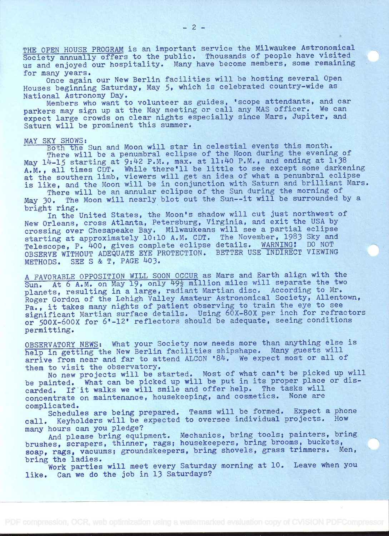THE OPEN HOUSE PROGRAM is an important service the Milwaukee Astronomical Society annually offers to the public. Thousands of people have visited us and enjoyed our hospitality. Many have become members, some remaining for many years.

Once again our New Berlin facilities will be hosting several Open Houses beginning Saturday, May 5, which is celebrated country-wide as National Astronomy Day.

Members who want to volunteer as guides, 'scope attendants, and car parkers may sign up at the May meeting or call any MAS officer. We can expect large crowds on clear nights especially since Mars, Jupiter, and Saturn will be prominent this summer.

## MAY SKY SHOWS

Both the Sun and Moon will star in celestial events this month. There will be a penumbral eclipse of the Moon during the evening of May  $14-15$  starting at  $9:42$  P.M., max. at  $11:40$  P.M., and ending at  $1:38$ A.M., all times CDT. While there'll be little to see except some darkening at the southern limb, viewers will get an idea of what a penumbral eclipse is like, and the Moon will be in conjunction with Saturn and brilliant Mars.

There will be an annular eclipse of the Sun during the morning of May 30, The Moon will nearly blot out the Sun--it will be surrounded by <sup>a</sup> bright ring.

In the United States, the Moon's shadow will cut just northwest of' New Orleans, cross Atlanta, Petersburg, Virginia, and exit the USA by crossing over Chesapeake Bay, Miiwaukeans will see a partial eclipse starting at approximately 10:10 A.M. CDT. The November, 1983 Sky and Telescope, P. 400, gives complete eclipse details. WARNING! DO NOT OBSERVE WITHOUT ADEQUATE EYE PROTECTION. BETTER USE INDIRECT VIEWING  $METHODS.$  SEE S & T, PAGE 403.

<sup>A</sup>FAVORABLE OPPOSITION WILL SOON OCCUR as Mars and Earth align with the Sun. At 6 A.M. on May 19, only 49<sup>1</sup>/<sub>2</sub> million miles will separate the two planets, resulting in a large, radiant Martian disc. According to Mr. Roger Gordon of the Lehigh Valley Amateur Astronomical Society, Allentown, Pa., it takes many nights of patient observing to train the eye to see significant Martian surface details. Using 60x-80x per inch for refractors or 5oox-600x for 6'-12' reflectors should be adequate, seeing conditions permitting.

OBSERVATORY NEWS: What your Society now needs more than anything else is help in getting the New Berlin facilities shipshape, Many guests will arrive from near and far to attend ALCON '84. We expect most or all of them to visit the observatory.

No new projects will be started. Most of what can't be picked up will be painted. What can be picked up will be put in its proper place or discarded. If it walks we will smile and offer help. The tasks will concentrate on maintenance, housekeeping, and cosmetics. None are complicated.

Schedules are being prepared. Teams will be formed. Expect a phone<br>Kaybolders will be expected to oversee individual projects. How call. Keyholders will be expected to oversee individual projects.

many hours can you pledge?<br>And please bring equipment. Mechanics, bring tools; painters, bring And please bring equipment. Mechanics, bring tools; painters, bring brushes, scrapers, thinner, rags; housekeepers, bring brooms, buckets, soap, rags, vacuums; groundskeepers, bring shovels, grass trimmers. Men, bring the ladies.

Work parties will meet every Saturday morning at 10. Leave when you like. Can we do the job in 13 Saturdays?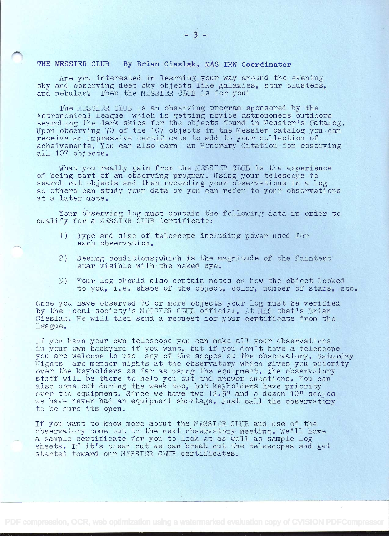## THE MESSIER CLUB By Brian Cieslak. MAS IHW Coordinator

Are you interested in learning your way around the evening sky and observing deep sky objects like galaxies, star clusters, and nebulas? Then the MESSIER CLUB is for you!

The MESSIER CLUB is an observing program sponsored by the Astronomical League which is getting novice astronomers outdoors searching the dark skies for the objects found in Messier's Catalog. Upon observing 70 of the 107 ohjects in the Messier catalog you can receive an impressive certificate to add to your collection of acheivements, You can also earn an Honorary Citation for observing all 107 objects.

What you really gain from the MESSIER CLUB is the experience of being part of an observing program. Using your telescope to search out objects and then recording your observations in a log so others can study your data or you can refer to your observations at a later date.

Your observing log must contain the following data in order to qualify for a MESSIER CLUB Certificate:

- 1) Type and size of telescope including power used for each observation.
- 2) Seeing conditions;which is the magnitude of the faintest star visible with the naked eye.
- 3) Your log should also contain notes on how the object looked to you, i.e. shape of the object, color, number of stars, etc.

Once you have observed 70 or more objects your log must be verified by the local society's MESSIER CLUB official. At MAS that's Brian Cieslak. He will then send a request for your certificate from the League.

If you have your own telescope you can make all your observations in your own backyard if you want, but if you don't have a telescope you are welcome to use anyof the scopes at the observatory. Saturday ights ara member nights at the observatory which gives you priority over the keyholders as far as using the equipment. The observatory staff will be there to help you out and answer questions. You can also come. out during the week too, but keyholders have priority over the equipment. Since we have two 12.5" and a dozen 10" scopes we have never had an equipment shortage. Just call the observatory to be sure its open.

If you want to know more about the MESSIER CLUB and use of the observatory come out to the next observatory meeting. We'll have a sample certificate for you to look at as well as sample log sheets. If it's clear out we can break out the telescopes and get started toward our MESSIER CLUB certificates.